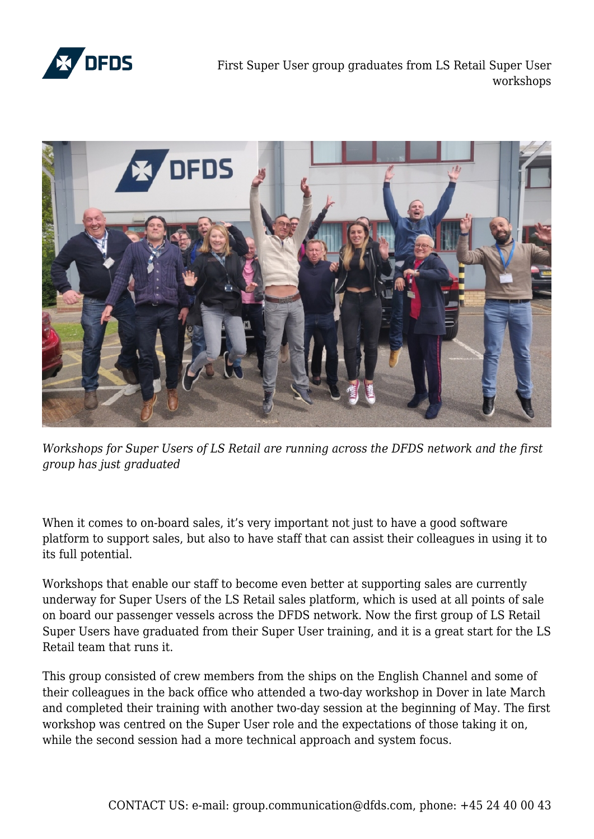

First Super User group graduates from LS Retail Super User workshops



*Workshops for Super Users of LS Retail are running across the DFDS network and the first group has just graduated*

When it comes to on-board sales, it's very important not just to have a good software platform to support sales, but also to have staff that can assist their colleagues in using it to its full potential.

Workshops that enable our staff to become even better at supporting sales are currently underway for Super Users of the LS Retail sales platform, which is used at all points of sale on board our passenger vessels across the DFDS network. Now the first group of LS Retail Super Users have graduated from their Super User training, and it is a great start for the LS Retail team that runs it.

This group consisted of crew members from the ships on the English Channel and some of their colleagues in the back office who attended a two-day workshop in Dover in late March and completed their training with another two-day session at the beginning of May. The first workshop was centred on the Super User role and the expectations of those taking it on, while the second session had a more technical approach and system focus.